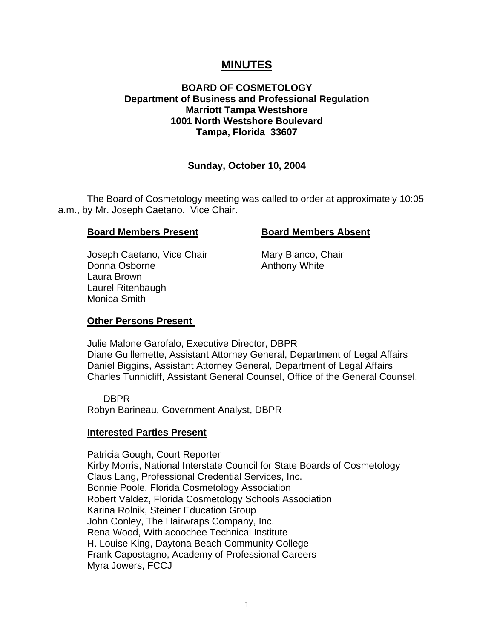# **MINUTES**

## **BOARD OF COSMETOLOGY Department of Business and Professional Regulation Marriott Tampa Westshore 1001 North Westshore Boulevard Tampa, Florida 33607**

# **Sunday, October 10, 2004**

The Board of Cosmetology meeting was called to order at approximately 10:05 a.m., by Mr. Joseph Caetano, Vice Chair.

#### **Board Members Present Board Members Absent**

Joseph Caetano, Vice Chair Mary Blanco, Chair Donna Osborne **Anthony White** Laura Brown Laurel Ritenbaugh Monica Smith

### **Other Persons Present**

Julie Malone Garofalo, Executive Director, DBPR Diane Guillemette, Assistant Attorney General, Department of Legal Affairs Daniel Biggins, Assistant Attorney General, Department of Legal Affairs Charles Tunnicliff, Assistant General Counsel, Office of the General Counsel,

 DBPR Robyn Barineau, Government Analyst, DBPR

### **Interested Parties Present**

Patricia Gough, Court Reporter Kirby Morris, National Interstate Council for State Boards of Cosmetology Claus Lang, Professional Credential Services, Inc. Bonnie Poole, Florida Cosmetology Association Robert Valdez, Florida Cosmetology Schools Association Karina Rolnik, Steiner Education Group John Conley, The Hairwraps Company, Inc. Rena Wood, Withlacoochee Technical Institute H. Louise King, Daytona Beach Community College Frank Capostagno, Academy of Professional Careers Myra Jowers, FCCJ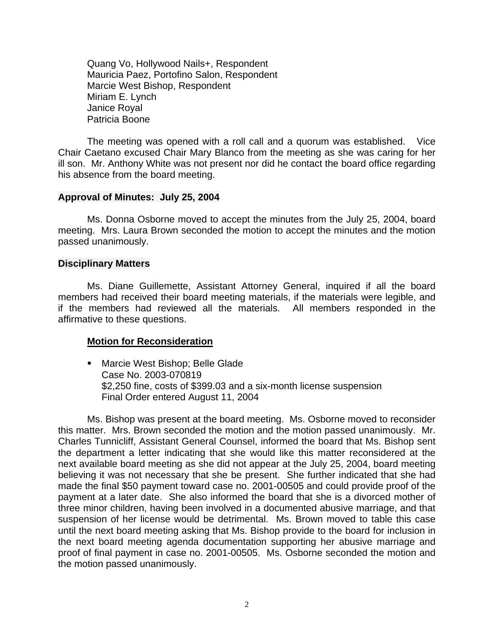Quang Vo, Hollywood Nails+, Respondent Mauricia Paez, Portofino Salon, Respondent Marcie West Bishop, Respondent Miriam E. Lynch Janice Royal Patricia Boone

The meeting was opened with a roll call and a quorum was established. Vice Chair Caetano excused Chair Mary Blanco from the meeting as she was caring for her ill son. Mr. Anthony White was not present nor did he contact the board office regarding his absence from the board meeting.

#### **Approval of Minutes: July 25, 2004**

Ms. Donna Osborne moved to accept the minutes from the July 25, 2004, board meeting. Mrs. Laura Brown seconded the motion to accept the minutes and the motion passed unanimously.

#### **Disciplinary Matters**

Ms. Diane Guillemette, Assistant Attorney General, inquired if all the board members had received their board meeting materials, if the materials were legible, and if the members had reviewed all the materials. All members responded in the affirmative to these questions.

### **Motion for Reconsideration**

**Marcie West Bishop; Belle Glade** Case No. 2003-070819 \$2,250 fine, costs of \$399.03 and a six-month license suspension Final Order entered August 11, 2004

Ms. Bishop was present at the board meeting. Ms. Osborne moved to reconsider this matter. Mrs. Brown seconded the motion and the motion passed unanimously. Mr. Charles Tunnicliff, Assistant General Counsel, informed the board that Ms. Bishop sent the department a letter indicating that she would like this matter reconsidered at the next available board meeting as she did not appear at the July 25, 2004, board meeting believing it was not necessary that she be present. She further indicated that she had made the final \$50 payment toward case no. 2001-00505 and could provide proof of the payment at a later date. She also informed the board that she is a divorced mother of three minor children, having been involved in a documented abusive marriage, and that suspension of her license would be detrimental. Ms. Brown moved to table this case until the next board meeting asking that Ms. Bishop provide to the board for inclusion in the next board meeting agenda documentation supporting her abusive marriage and proof of final payment in case no. 2001-00505. Ms. Osborne seconded the motion and the motion passed unanimously.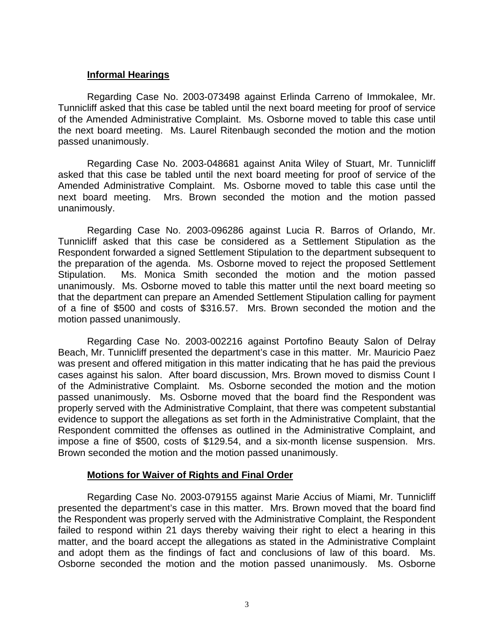## **Informal Hearings**

Regarding Case No. 2003-073498 against Erlinda Carreno of Immokalee, Mr. Tunnicliff asked that this case be tabled until the next board meeting for proof of service of the Amended Administrative Complaint. Ms. Osborne moved to table this case until the next board meeting. Ms. Laurel Ritenbaugh seconded the motion and the motion passed unanimously.

Regarding Case No. 2003-048681 against Anita Wiley of Stuart, Mr. Tunnicliff asked that this case be tabled until the next board meeting for proof of service of the Amended Administrative Complaint. Ms. Osborne moved to table this case until the next board meeting. Mrs. Brown seconded the motion and the motion passed unanimously.

Regarding Case No. 2003-096286 against Lucia R. Barros of Orlando, Mr. Tunnicliff asked that this case be considered as a Settlement Stipulation as the Respondent forwarded a signed Settlement Stipulation to the department subsequent to the preparation of the agenda. Ms. Osborne moved to reject the proposed Settlement Stipulation. Ms. Monica Smith seconded the motion and the motion passed unanimously. Ms. Osborne moved to table this matter until the next board meeting so that the department can prepare an Amended Settlement Stipulation calling for payment of a fine of \$500 and costs of \$316.57. Mrs. Brown seconded the motion and the motion passed unanimously.

Regarding Case No. 2003-002216 against Portofino Beauty Salon of Delray Beach, Mr. Tunnicliff presented the department's case in this matter. Mr. Mauricio Paez was present and offered mitigation in this matter indicating that he has paid the previous cases against his salon. After board discussion, Mrs. Brown moved to dismiss Count I of the Administrative Complaint. Ms. Osborne seconded the motion and the motion passed unanimously. Ms. Osborne moved that the board find the Respondent was properly served with the Administrative Complaint, that there was competent substantial evidence to support the allegations as set forth in the Administrative Complaint, that the Respondent committed the offenses as outlined in the Administrative Complaint, and impose a fine of \$500, costs of \$129.54, and a six-month license suspension. Mrs. Brown seconded the motion and the motion passed unanimously.

### **Motions for Waiver of Rights and Final Order**

Regarding Case No. 2003-079155 against Marie Accius of Miami, Mr. Tunnicliff presented the department's case in this matter. Mrs. Brown moved that the board find the Respondent was properly served with the Administrative Complaint, the Respondent failed to respond within 21 days thereby waiving their right to elect a hearing in this matter, and the board accept the allegations as stated in the Administrative Complaint and adopt them as the findings of fact and conclusions of law of this board. Ms. Osborne seconded the motion and the motion passed unanimously. Ms. Osborne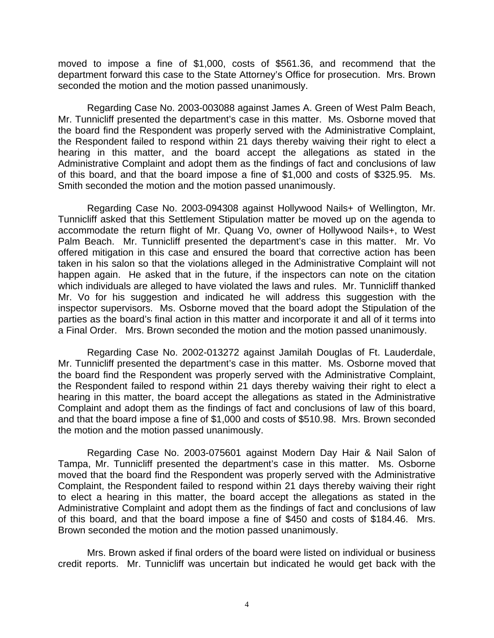moved to impose a fine of \$1,000, costs of \$561.36, and recommend that the department forward this case to the State Attorney's Office for prosecution. Mrs. Brown seconded the motion and the motion passed unanimously.

Regarding Case No. 2003-003088 against James A. Green of West Palm Beach, Mr. Tunnicliff presented the department's case in this matter. Ms. Osborne moved that the board find the Respondent was properly served with the Administrative Complaint, the Respondent failed to respond within 21 days thereby waiving their right to elect a hearing in this matter, and the board accept the allegations as stated in the Administrative Complaint and adopt them as the findings of fact and conclusions of law of this board, and that the board impose a fine of \$1,000 and costs of \$325.95. Ms. Smith seconded the motion and the motion passed unanimously.

Regarding Case No. 2003-094308 against Hollywood Nails+ of Wellington, Mr. Tunnicliff asked that this Settlement Stipulation matter be moved up on the agenda to accommodate the return flight of Mr. Quang Vo, owner of Hollywood Nails+, to West Palm Beach. Mr. Tunnicliff presented the department's case in this matter. Mr. Vo offered mitigation in this case and ensured the board that corrective action has been taken in his salon so that the violations alleged in the Administrative Complaint will not happen again. He asked that in the future, if the inspectors can note on the citation which individuals are alleged to have violated the laws and rules. Mr. Tunnicliff thanked Mr. Vo for his suggestion and indicated he will address this suggestion with the inspector supervisors. Ms. Osborne moved that the board adopt the Stipulation of the parties as the board's final action in this matter and incorporate it and all of it terms into a Final Order. Mrs. Brown seconded the motion and the motion passed unanimously.

Regarding Case No. 2002-013272 against Jamilah Douglas of Ft. Lauderdale, Mr. Tunnicliff presented the department's case in this matter. Ms. Osborne moved that the board find the Respondent was properly served with the Administrative Complaint, the Respondent failed to respond within 21 days thereby waiving their right to elect a hearing in this matter, the board accept the allegations as stated in the Administrative Complaint and adopt them as the findings of fact and conclusions of law of this board, and that the board impose a fine of \$1,000 and costs of \$510.98. Mrs. Brown seconded the motion and the motion passed unanimously.

Regarding Case No. 2003-075601 against Modern Day Hair & Nail Salon of Tampa, Mr. Tunnicliff presented the department's case in this matter. Ms. Osborne moved that the board find the Respondent was properly served with the Administrative Complaint, the Respondent failed to respond within 21 days thereby waiving their right to elect a hearing in this matter, the board accept the allegations as stated in the Administrative Complaint and adopt them as the findings of fact and conclusions of law of this board, and that the board impose a fine of \$450 and costs of \$184.46. Mrs. Brown seconded the motion and the motion passed unanimously.

Mrs. Brown asked if final orders of the board were listed on individual or business credit reports. Mr. Tunnicliff was uncertain but indicated he would get back with the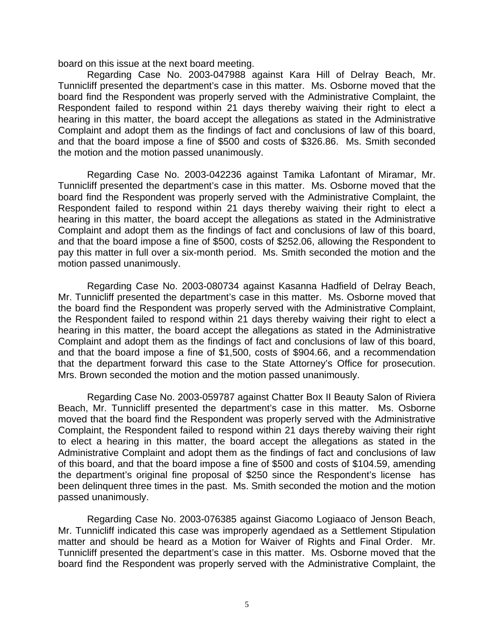board on this issue at the next board meeting.

Regarding Case No. 2003-047988 against Kara Hill of Delray Beach, Mr. Tunnicliff presented the department's case in this matter. Ms. Osborne moved that the board find the Respondent was properly served with the Administrative Complaint, the Respondent failed to respond within 21 days thereby waiving their right to elect a hearing in this matter, the board accept the allegations as stated in the Administrative Complaint and adopt them as the findings of fact and conclusions of law of this board, and that the board impose a fine of \$500 and costs of \$326.86. Ms. Smith seconded the motion and the motion passed unanimously.

Regarding Case No. 2003-042236 against Tamika Lafontant of Miramar, Mr. Tunnicliff presented the department's case in this matter. Ms. Osborne moved that the board find the Respondent was properly served with the Administrative Complaint, the Respondent failed to respond within 21 days thereby waiving their right to elect a hearing in this matter, the board accept the allegations as stated in the Administrative Complaint and adopt them as the findings of fact and conclusions of law of this board, and that the board impose a fine of \$500, costs of \$252.06, allowing the Respondent to pay this matter in full over a six-month period. Ms. Smith seconded the motion and the motion passed unanimously.

Regarding Case No. 2003-080734 against Kasanna Hadfield of Delray Beach, Mr. Tunnicliff presented the department's case in this matter. Ms. Osborne moved that the board find the Respondent was properly served with the Administrative Complaint, the Respondent failed to respond within 21 days thereby waiving their right to elect a hearing in this matter, the board accept the allegations as stated in the Administrative Complaint and adopt them as the findings of fact and conclusions of law of this board, and that the board impose a fine of \$1,500, costs of \$904.66, and a recommendation that the department forward this case to the State Attorney's Office for prosecution. Mrs. Brown seconded the motion and the motion passed unanimously.

Regarding Case No. 2003-059787 against Chatter Box II Beauty Salon of Riviera Beach, Mr. Tunnicliff presented the department's case in this matter. Ms. Osborne moved that the board find the Respondent was properly served with the Administrative Complaint, the Respondent failed to respond within 21 days thereby waiving their right to elect a hearing in this matter, the board accept the allegations as stated in the Administrative Complaint and adopt them as the findings of fact and conclusions of law of this board, and that the board impose a fine of \$500 and costs of \$104.59, amending the department's original fine proposal of \$250 since the Respondent's license has been delinquent three times in the past. Ms. Smith seconded the motion and the motion passed unanimously.

Regarding Case No. 2003-076385 against Giacomo Logiaaco of Jenson Beach, Mr. Tunnicliff indicated this case was improperly agendaed as a Settlement Stipulation matter and should be heard as a Motion for Waiver of Rights and Final Order. Mr. Tunnicliff presented the department's case in this matter. Ms. Osborne moved that the board find the Respondent was properly served with the Administrative Complaint, the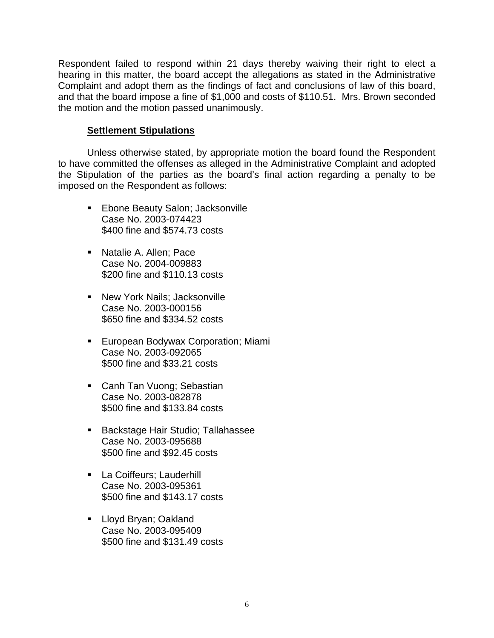Respondent failed to respond within 21 days thereby waiving their right to elect a hearing in this matter, the board accept the allegations as stated in the Administrative Complaint and adopt them as the findings of fact and conclusions of law of this board, and that the board impose a fine of \$1,000 and costs of \$110.51. Mrs. Brown seconded the motion and the motion passed unanimously.

#### **Settlement Stipulations**

Unless otherwise stated, by appropriate motion the board found the Respondent to have committed the offenses as alleged in the Administrative Complaint and adopted the Stipulation of the parties as the board's final action regarding a penalty to be imposed on the Respondent as follows:

- **Ebone Beauty Salon; Jacksonville** Case No. 2003-074423 \$400 fine and \$574.73 costs
- **Natalie A. Allen; Pace** Case No. 2004-009883 \$200 fine and \$110.13 costs
- **New York Nails; Jacksonville** Case No. 2003-000156 \$650 fine and \$334.52 costs
- **European Bodywax Corporation; Miami** Case No. 2003-092065 \$500 fine and \$33.21 costs
- **Canh Tan Vuong; Sebastian** Case No. 2003-082878 \$500 fine and \$133.84 costs
- **Backstage Hair Studio; Tallahassee** Case No. 2003-095688 \$500 fine and \$92.45 costs
- **La Coiffeurs; Lauderhill** Case No. 2003-095361 \$500 fine and \$143.17 costs
- **Lloyd Bryan; Oakland** Case No. 2003-095409 \$500 fine and \$131.49 costs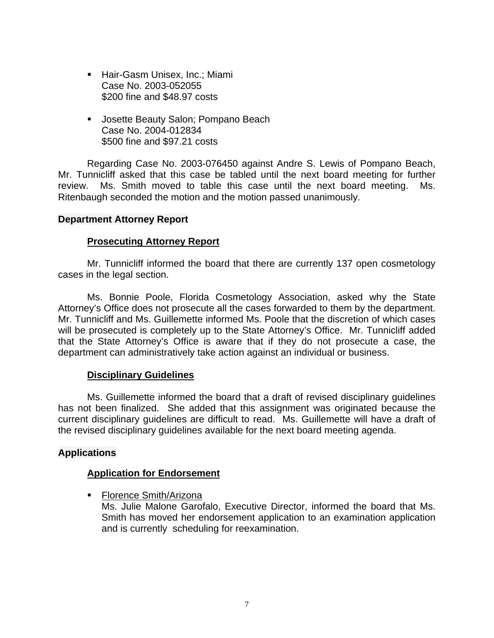- **Hair-Gasm Unisex, Inc.; Miami** Case No. 2003-052055 \$200 fine and \$48.97 costs
- **Josette Beauty Salon; Pompano Beach** Case No. 2004-012834 \$500 fine and \$97.21 costs

Regarding Case No. 2003-076450 against Andre S. Lewis of Pompano Beach, Mr. Tunnicliff asked that this case be tabled until the next board meeting for further review. Ms. Smith moved to table this case until the next board meeting. Ms. Ritenbaugh seconded the motion and the motion passed unanimously.

#### **Department Attorney Report**

### **Prosecuting Attorney Report**

Mr. Tunnicliff informed the board that there are currently 137 open cosmetology cases in the legal section.

Ms. Bonnie Poole, Florida Cosmetology Association, asked why the State Attorney's Office does not prosecute all the cases forwarded to them by the department. Mr. Tunnicliff and Ms. Guillemette informed Ms. Poole that the discretion of which cases will be prosecuted is completely up to the State Attorney's Office. Mr. Tunnicliff added that the State Attorney's Office is aware that if they do not prosecute a case, the department can administratively take action against an individual or business.

#### **Disciplinary Guidelines**

Ms. Guillemette informed the board that a draft of revised disciplinary guidelines has not been finalized. She added that this assignment was originated because the current disciplinary guidelines are difficult to read. Ms. Guillemette will have a draft of the revised disciplinary guidelines available for the next board meeting agenda.

### **Applications**

### **Application for Endorsement**

■ Florence Smith/Arizona Ms. Julie Malone Garofalo, Executive Director, informed the board that Ms. Smith has moved her endorsement application to an examination application and is currently scheduling for reexamination.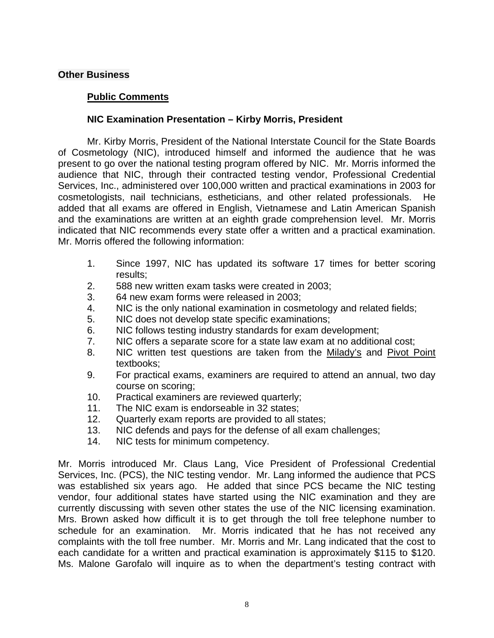# **Public Comments**

## **NIC Examination Presentation – Kirby Morris, President**

Mr. Kirby Morris, President of the National Interstate Council for the State Boards of Cosmetology (NIC), introduced himself and informed the audience that he was present to go over the national testing program offered by NIC. Mr. Morris informed the audience that NIC, through their contracted testing vendor, Professional Credential Services, Inc., administered over 100,000 written and practical examinations in 2003 for cosmetologists, nail technicians, estheticians, and other related professionals. He added that all exams are offered in English, Vietnamese and Latin American Spanish and the examinations are written at an eighth grade comprehension level. Mr. Morris indicated that NIC recommends every state offer a written and a practical examination. Mr. Morris offered the following information:

- 1. Since 1997, NIC has updated its software 17 times for better scoring results;
- 2. 588 new written exam tasks were created in 2003;
- 3. 64 new exam forms were released in 2003;
- 4. NIC is the only national examination in cosmetology and related fields;
- 5. NIC does not develop state specific examinations;
- 6. NIC follows testing industry standards for exam development;
- 7. NIC offers a separate score for a state law exam at no additional cost;
- 8. NIC written test questions are taken from the Milady's and Pivot Point textbooks;
- 9. For practical exams, examiners are required to attend an annual, two day course on scoring;
- 10. Practical examiners are reviewed quarterly;
- 11. The NIC exam is endorseable in 32 states;
- 12. Quarterly exam reports are provided to all states;
- 13. NIC defends and pays for the defense of all exam challenges;
- 14. NIC tests for minimum competency.

Mr. Morris introduced Mr. Claus Lang, Vice President of Professional Credential Services, Inc. (PCS), the NIC testing vendor. Mr. Lang informed the audience that PCS was established six years ago. He added that since PCS became the NIC testing vendor, four additional states have started using the NIC examination and they are currently discussing with seven other states the use of the NIC licensing examination. Mrs. Brown asked how difficult it is to get through the toll free telephone number to schedule for an examination. Mr. Morris indicated that he has not received any complaints with the toll free number. Mr. Morris and Mr. Lang indicated that the cost to each candidate for a written and practical examination is approximately \$115 to \$120. Ms. Malone Garofalo will inquire as to when the department's testing contract with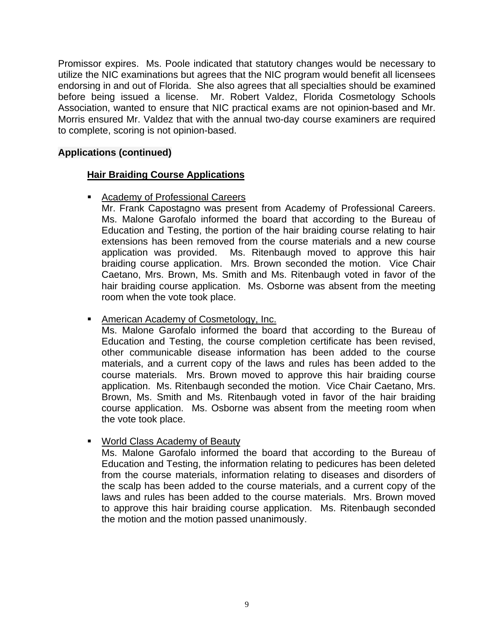Promissor expires. Ms. Poole indicated that statutory changes would be necessary to utilize the NIC examinations but agrees that the NIC program would benefit all licensees endorsing in and out of Florida. She also agrees that all specialties should be examined before being issued a license. Mr. Robert Valdez, Florida Cosmetology Schools Association, wanted to ensure that NIC practical exams are not opinion-based and Mr. Morris ensured Mr. Valdez that with the annual two-day course examiners are required to complete, scoring is not opinion-based.

# **Applications (continued)**

# **Hair Braiding Course Applications**

■ Academy of Professional Careers

Mr. Frank Capostagno was present from Academy of Professional Careers. Ms. Malone Garofalo informed the board that according to the Bureau of Education and Testing, the portion of the hair braiding course relating to hair extensions has been removed from the course materials and a new course application was provided. Ms. Ritenbaugh moved to approve this hair braiding course application. Mrs. Brown seconded the motion. Vice Chair Caetano, Mrs. Brown, Ms. Smith and Ms. Ritenbaugh voted in favor of the hair braiding course application. Ms. Osborne was absent from the meeting room when the vote took place.

**American Academy of Cosmetology, Inc.** 

Ms. Malone Garofalo informed the board that according to the Bureau of Education and Testing, the course completion certificate has been revised, other communicable disease information has been added to the course materials, and a current copy of the laws and rules has been added to the course materials. Mrs. Brown moved to approve this hair braiding course application. Ms. Ritenbaugh seconded the motion. Vice Chair Caetano, Mrs. Brown, Ms. Smith and Ms. Ritenbaugh voted in favor of the hair braiding course application. Ms. Osborne was absent from the meeting room when the vote took place.

# **World Class Academy of Beauty**

Ms. Malone Garofalo informed the board that according to the Bureau of Education and Testing, the information relating to pedicures has been deleted from the course materials, information relating to diseases and disorders of the scalp has been added to the course materials, and a current copy of the laws and rules has been added to the course materials. Mrs. Brown moved to approve this hair braiding course application. Ms. Ritenbaugh seconded the motion and the motion passed unanimously.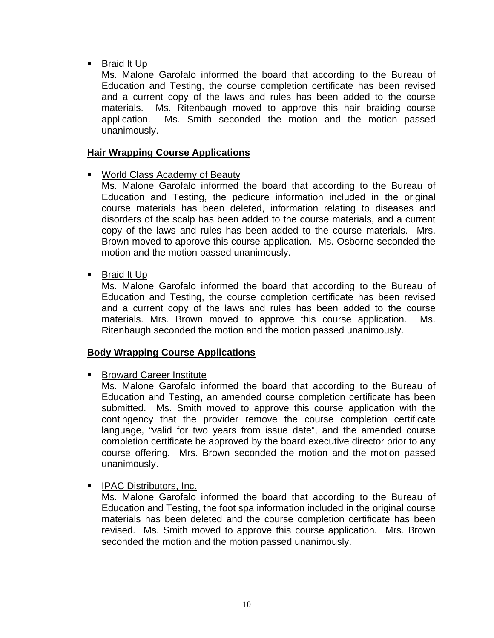**Braid It Up** 

Ms. Malone Garofalo informed the board that according to the Bureau of Education and Testing, the course completion certificate has been revised and a current copy of the laws and rules has been added to the course materials. Ms. Ritenbaugh moved to approve this hair braiding course application. Ms. Smith seconded the motion and the motion passed unanimously.

# **Hair Wrapping Course Applications**

World Class Academy of Beauty

Ms. Malone Garofalo informed the board that according to the Bureau of Education and Testing, the pedicure information included in the original course materials has been deleted, information relating to diseases and disorders of the scalp has been added to the course materials, and a current copy of the laws and rules has been added to the course materials. Mrs. Brown moved to approve this course application. Ms. Osborne seconded the motion and the motion passed unanimously.

**Braid It Up** 

Ms. Malone Garofalo informed the board that according to the Bureau of Education and Testing, the course completion certificate has been revised and a current copy of the laws and rules has been added to the course materials. Mrs. Brown moved to approve this course application. Ms. Ritenbaugh seconded the motion and the motion passed unanimously.

### **Body Wrapping Course Applications**

■ Broward Career Institute

Ms. Malone Garofalo informed the board that according to the Bureau of Education and Testing, an amended course completion certificate has been submitted. Ms. Smith moved to approve this course application with the contingency that the provider remove the course completion certificate language, "valid for two years from issue date", and the amended course completion certificate be approved by the board executive director prior to any course offering. Mrs. Brown seconded the motion and the motion passed unanimously.

# **IFAC Distributors, Inc.**

Ms. Malone Garofalo informed the board that according to the Bureau of Education and Testing, the foot spa information included in the original course materials has been deleted and the course completion certificate has been revised. Ms. Smith moved to approve this course application. Mrs. Brown seconded the motion and the motion passed unanimously.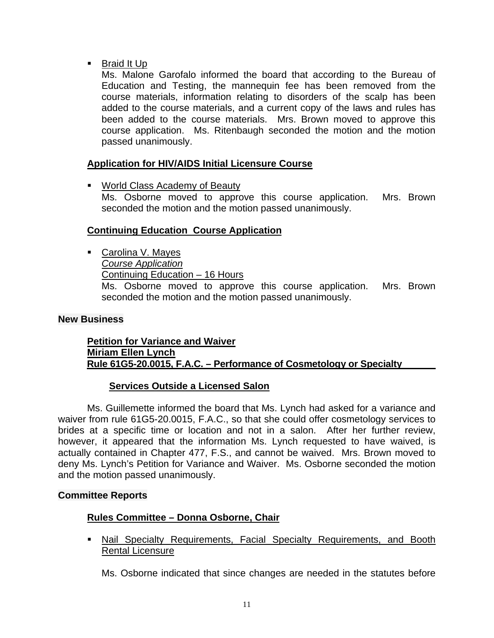**Braid It Up** 

Ms. Malone Garofalo informed the board that according to the Bureau of Education and Testing, the mannequin fee has been removed from the course materials, information relating to disorders of the scalp has been added to the course materials, and a current copy of the laws and rules has been added to the course materials. Mrs. Brown moved to approve this course application. Ms. Ritenbaugh seconded the motion and the motion passed unanimously.

# **Application for HIV/AIDS Initial Licensure Course**

**World Class Academy of Beauty** 

Ms. Osborne moved to approve this course application. Mrs. Brown seconded the motion and the motion passed unanimously.

### **Continuing Education Course Application**

■ Carolina V. Mayes *Course Application* Continuing Education – 16 Hours Ms. Osborne moved to approve this course application. Mrs. Brown seconded the motion and the motion passed unanimously.

#### **New Business**

#### **Petition for Variance and Waiver Miriam Ellen Lynch Rule 61G5-20.0015, F.A.C. – Performance of Cosmetology or Specialty**

### **Services Outside a Licensed Salon**

Ms. Guillemette informed the board that Ms. Lynch had asked for a variance and waiver from rule 61G5-20.0015, F.A.C., so that she could offer cosmetology services to brides at a specific time or location and not in a salon. After her further review, however, it appeared that the information Ms. Lynch requested to have waived, is actually contained in Chapter 477, F.S., and cannot be waived. Mrs. Brown moved to deny Ms. Lynch's Petition for Variance and Waiver. Ms. Osborne seconded the motion and the motion passed unanimously.

#### **Committee Reports**

### **Rules Committee – Donna Osborne, Chair**

**Nail Specialty Requirements, Facial Specialty Requirements, and Booth** Rental Licensure

Ms. Osborne indicated that since changes are needed in the statutes before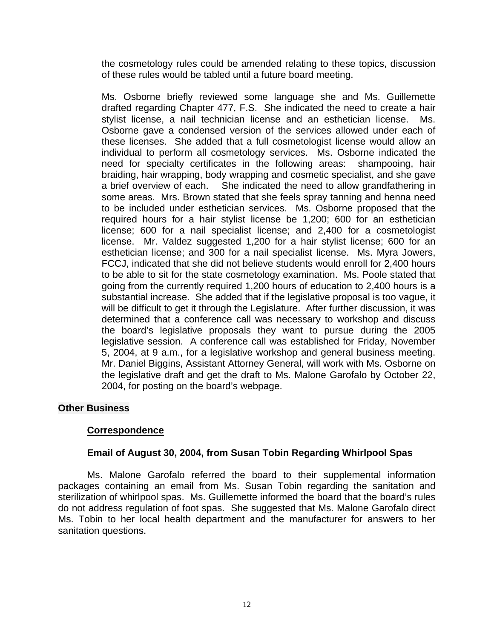the cosmetology rules could be amended relating to these topics, discussion of these rules would be tabled until a future board meeting.

Ms. Osborne briefly reviewed some language she and Ms. Guillemette drafted regarding Chapter 477, F.S. She indicated the need to create a hair stylist license, a nail technician license and an esthetician license. Ms. Osborne gave a condensed version of the services allowed under each of these licenses. She added that a full cosmetologist license would allow an individual to perform all cosmetology services. Ms. Osborne indicated the need for specialty certificates in the following areas: shampooing, hair braiding, hair wrapping, body wrapping and cosmetic specialist, and she gave a brief overview of each. She indicated the need to allow grandfathering in some areas. Mrs. Brown stated that she feels spray tanning and henna need to be included under esthetician services. Ms. Osborne proposed that the required hours for a hair stylist license be 1,200; 600 for an esthetician license; 600 for a nail specialist license; and 2,400 for a cosmetologist license. Mr. Valdez suggested 1,200 for a hair stylist license; 600 for an esthetician license; and 300 for a nail specialist license. Ms. Myra Jowers, FCCJ, indicated that she did not believe students would enroll for 2,400 hours to be able to sit for the state cosmetology examination. Ms. Poole stated that going from the currently required 1,200 hours of education to 2,400 hours is a substantial increase. She added that if the legislative proposal is too vague, it will be difficult to get it through the Legislature. After further discussion, it was determined that a conference call was necessary to workshop and discuss the board's legislative proposals they want to pursue during the 2005 legislative session. A conference call was established for Friday, November 5, 2004, at 9 a.m., for a legislative workshop and general business meeting. Mr. Daniel Biggins, Assistant Attorney General, will work with Ms. Osborne on the legislative draft and get the draft to Ms. Malone Garofalo by October 22, 2004, for posting on the board's webpage.

### **Other Business**

### **Correspondence**

#### **Email of August 30, 2004, from Susan Tobin Regarding Whirlpool Spas**

Ms. Malone Garofalo referred the board to their supplemental information packages containing an email from Ms. Susan Tobin regarding the sanitation and sterilization of whirlpool spas. Ms. Guillemette informed the board that the board's rules do not address regulation of foot spas. She suggested that Ms. Malone Garofalo direct Ms. Tobin to her local health department and the manufacturer for answers to her sanitation questions.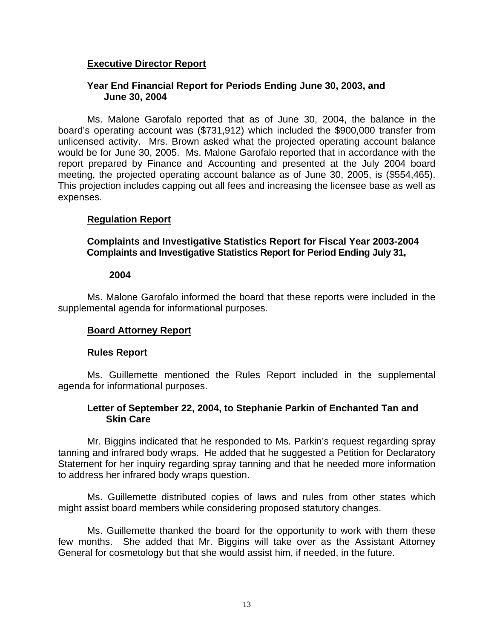## **Executive Director Report**

#### **Year End Financial Report for Periods Ending June 30, 2003, and June 30, 2004**

Ms. Malone Garofalo reported that as of June 30, 2004, the balance in the board's operating account was (\$731,912) which included the \$900,000 transfer from unlicensed activity. Mrs. Brown asked what the projected operating account balance would be for June 30, 2005. Ms. Malone Garofalo reported that in accordance with the report prepared by Finance and Accounting and presented at the July 2004 board meeting, the projected operating account balance as of June 30, 2005, is (\$554,465). This projection includes capping out all fees and increasing the licensee base as well as expenses.

### **Regulation Report**

**Complaints and Investigative Statistics Report for Fiscal Year 2003-2004 Complaints and Investigative Statistics Report for Period Ending July 31,** 

#### **2004**

Ms. Malone Garofalo informed the board that these reports were included in the supplemental agenda for informational purposes.

### **Board Attorney Report**

#### **Rules Report**

Ms. Guillemette mentioned the Rules Report included in the supplemental agenda for informational purposes.

#### **Letter of September 22, 2004, to Stephanie Parkin of Enchanted Tan and Skin Care**

Mr. Biggins indicated that he responded to Ms. Parkin's request regarding spray tanning and infrared body wraps. He added that he suggested a Petition for Declaratory Statement for her inquiry regarding spray tanning and that he needed more information to address her infrared body wraps question.

Ms. Guillemette distributed copies of laws and rules from other states which might assist board members while considering proposed statutory changes.

Ms. Guillemette thanked the board for the opportunity to work with them these few months. She added that Mr. Biggins will take over as the Assistant Attorney General for cosmetology but that she would assist him, if needed, in the future.